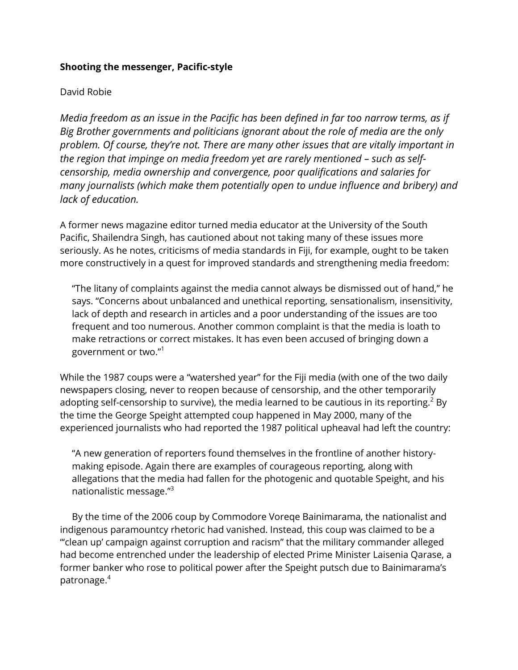# **Shooting the messenger, Pacific-style**

## David Robie

*Media freedom as an issue in the Pacific has been defined in far too narrow terms, as if Big Brother governments and politicians ignorant about the role of media are the only problem. Of course, they're not. There are many other issues that are vitally important in the region that impinge on media freedom yet are rarely mentioned – such as selfcensorship, media ownership and convergence, poor qualifications and salaries for many journalists (which make them potentially open to undue influence and bribery) and lack of education.*

A former news magazine editor turned media educator at the University of the South Pacific, Shailendra Singh, has cautioned about not taking many of these issues more seriously. As he notes, criticisms of media standards in Fiji, for example, ought to be taken more constructively in a quest for improved standards and strengthening media freedom:

"The litany of complaints against the media cannot always be dismissed out of hand," he says. "Concerns about unbalanced and unethical reporting, sensationalism, insensitivity, lack of depth and research in articles and a poor understanding of the issues are too frequent and too numerous. Another common complaint is that the media is loath to make retractions or correct mistakes. It has even been accused of bringing down a government or two." 1

While the 1987 coups were a "watershed year" for the Fiji media (with one of the two daily newspapers closing, never to reopen because of censorship, and the other temporarily adopting self-censorship to survive), the media learned to be cautious in its reporting.<sup>2</sup> By the time the George Speight attempted coup happened in May 2000, many of the experienced journalists who had reported the 1987 political upheaval had left the country:

"A new generation of reporters found themselves in the frontline of another historymaking episode. Again there are examples of courageous reporting, along with allegations that the media had fallen for the photogenic and quotable Speight, and his nationalistic message."<sup>3</sup>

By the time of the 2006 coup by Commodore Voreqe Bainimarama, the nationalist and indigenous paramountcy rhetoric had vanished. Instead, this coup was claimed to be a "'clean up' campaign against corruption and racism" that the military commander alleged had become entrenched under the leadership of elected Prime Minister Laisenia Qarase, a former banker who rose to political power after the Speight putsch due to Bainimarama's patronage.<sup>4</sup>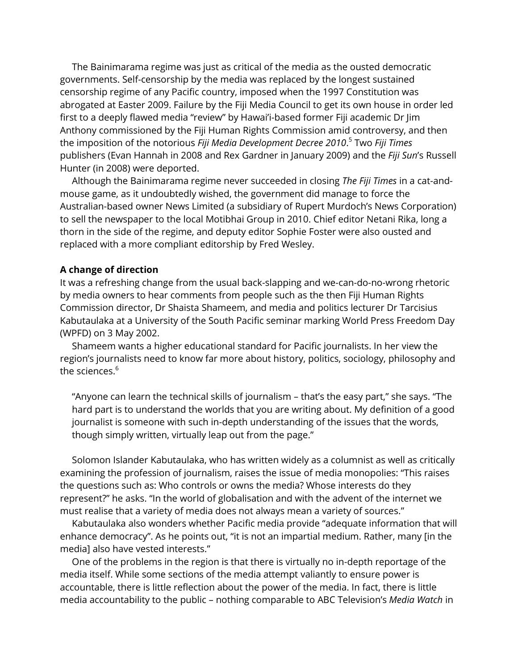The Bainimarama regime was just as critical of the media as the ousted democratic governments. Self-censorship by the media was replaced by the longest sustained censorship regime of any Pacific country, imposed when the 1997 Constitution was abrogated at Easter 2009. Failure by the Fiji Media Council to get its own house in order led first to a deeply flawed media "review" by Hawai'i-based former Fiji academic Dr Jim Anthony commissioned by the Fiji Human Rights Commission amid controversy, and then the imposition of the notorious *Fiji Media Development Decree 2010*. 5 Two *Fiji Times*  publishers (Evan Hannah in 2008 and Rex Gardner in January 2009) and the *Fiji Sun*'s Russell Hunter (in 2008) were deported.

Although the Bainimarama regime never succeeded in closing *The Fiji Times* in a cat-andmouse game, as it undoubtedly wished, the government did manage to force the Australian-based owner News Limited (a subsidiary of Rupert Murdoch's News Corporation) to sell the newspaper to the local Motibhai Group in 2010. Chief editor Netani Rika, long a thorn in the side of the regime, and deputy editor Sophie Foster were also ousted and replaced with a more compliant editorship by Fred Wesley.

### **A change of direction**

It was a refreshing change from the usual back-slapping and we-can-do-no-wrong rhetoric by media owners to hear comments from people such as the then Fiji Human Rights Commission director, Dr Shaista Shameem, and media and politics lecturer Dr Tarcisius Kabutaulaka at a University of the South Pacific seminar marking World Press Freedom Day (WPFD) on 3 May 2002.

Shameem wants a higher educational standard for Pacific journalists. In her view the region's journalists need to know far more about history, politics, sociology, philosophy and the sciences.<sup>6</sup>

"Anyone can learn the technical skills of journalism – that's the easy part," she says. "The hard part is to understand the worlds that you are writing about. My definition of a good journalist is someone with such in-depth understanding of the issues that the words, though simply written, virtually leap out from the page."

Solomon Islander Kabutaulaka, who has written widely as a columnist as well as critically examining the profession of journalism, raises the issue of media monopolies: "This raises the questions such as: Who controls or owns the media? Whose interests do they represent?" he asks. "In the world of globalisation and with the advent of the internet we must realise that a variety of media does not always mean a variety of sources."

Kabutaulaka also wonders whether Pacific media provide "adequate information that will enhance democracy". As he points out, "it is not an impartial medium. Rather, many [in the media] also have vested interests."

One of the problems in the region is that there is virtually no in-depth reportage of the media itself. While some sections of the media attempt valiantly to ensure power is accountable, there is little reflection about the power of the media. In fact, there is little media accountability to the public – nothing comparable to ABC Television's *Media Watch* in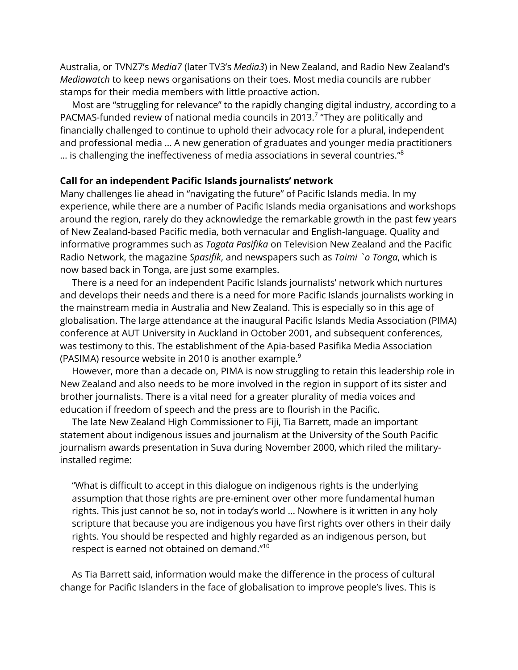Australia, or TVNZ7's *Media7* (later TV3's *Media3*) in New Zealand, and Radio New Zealand's *Mediawatch* to keep news organisations on their toes. Most media councils are rubber stamps for their media members with little proactive action.

Most are "struggling for relevance" to the rapidly changing digital industry, according to a PACMAS-funded review of national media councils in 2013.<sup>7</sup> "They are politically and financially challenged to continue to uphold their advocacy role for a plural, independent and professional media ... A new generation of graduates and younger media practitioners … is challenging the ineffectiveness of media associations in several countries." 8

### **Call for an independent Pacific Islands journalists' network**

Many challenges lie ahead in "navigating the future" of Pacific Islands media. In my experience, while there are a number of Pacific Islands media organisations and workshops around the region, rarely do they acknowledge the remarkable growth in the past few years of New Zealand-based Pacific media, both vernacular and English-language. Quality and informative programmes such as *Tagata Pasifika* on Television New Zealand and the Pacific Radio Network, the magazine *Spasifik*, and newspapers such as *Taimi `o Tonga*, which is now based back in Tonga, are just some examples.

There is a need for an independent Pacific Islands journalists' network which nurtures and develops their needs and there is a need for more Pacific Islands journalists working in the mainstream media in Australia and New Zealand. This is especially so in this age of globalisation. The large attendance at the inaugural Pacific Islands Media Association (PIMA) conference at AUT University in Auckland in October 2001, and subsequent conferences, was testimony to this. The establishment of the Apia-based Pasifika Media Association (PASIMA) resource website in 2010 is another example. $9$ 

However, more than a decade on, PIMA is now struggling to retain this leadership role in New Zealand and also needs to be more involved in the region in support of its sister and brother journalists. There is a vital need for a greater plurality of media voices and education if freedom of speech and the press are to flourish in the Pacific.

The late New Zealand High Commissioner to Fiji, Tia Barrett, made an important statement about indigenous issues and journalism at the University of the South Pacific journalism awards presentation in Suva during November 2000, which riled the militaryinstalled regime:

"What is difficult to accept in this dialogue on indigenous rights is the underlying assumption that those rights are pre-eminent over other more fundamental human rights. This just cannot be so, not in today's world ... Nowhere is it written in any holy scripture that because you are indigenous you have first rights over others in their daily rights. You should be respected and highly regarded as an indigenous person, but respect is earned not obtained on demand."<sup>10</sup>

As Tia Barrett said, information would make the difference in the process of cultural change for Pacific Islanders in the face of globalisation to improve people's lives. This is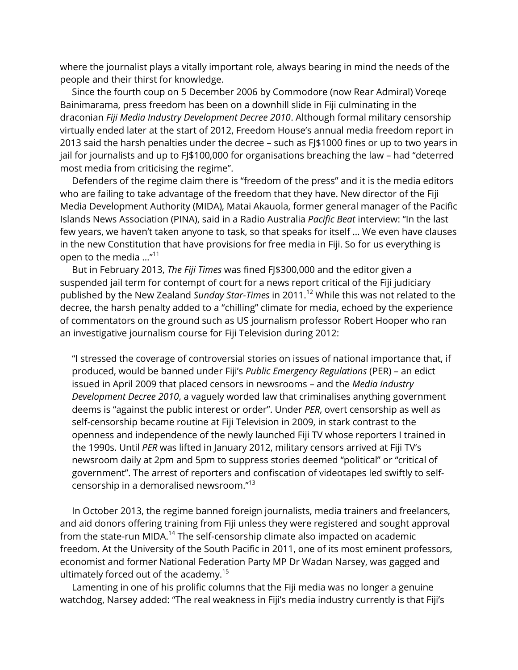where the journalist plays a vitally important role, always bearing in mind the needs of the people and their thirst for knowledge.

Since the fourth coup on 5 December 2006 by Commodore (now Rear Admiral) Voreqe Bainimarama, press freedom has been on a downhill slide in Fiji culminating in the draconian *Fiji Media Industry Development Decree 2010*. Although formal military censorship virtually ended later at the start of 2012, Freedom House's annual media freedom report in 2013 said the harsh penalties under the decree – such as FJ\$1000 fines or up to two years in jail for journalists and up to FJ\$100,000 for organisations breaching the law - had "deterred most media from criticising the regime".

Defenders of the regime claim there is "freedom of the press" and it is the media editors who are failing to take advantage of the freedom that they have. New director of the Fiji Media Development Authority (MIDA), Matai Akauola, former general manager of the Pacific Islands News Association (PINA), said in a Radio Australia *Pacific Beat* interview: "In the last few years, we haven't taken anyone to task, so that speaks for itself … We even have clauses in the new Constitution that have provisions for free media in Fiji. So for us everything is open to the media ..." $^{11}$ 

But in February 2013, *The Fiji Times* was fined FJ\$300,000 and the editor given a suspended jail term for contempt of court for a news report critical of the Fiji judiciary published by the New Zealand *Sunday Star-Times* in 2011.<sup>12</sup> While this was not related to the decree, the harsh penalty added to a "chilling" climate for media, echoed by the experience of commentators on the ground such as US journalism professor Robert Hooper who ran an investigative journalism course for Fiji Television during 2012:

"I stressed the coverage of controversial stories on issues of national importance that, if produced, would be banned under Fiji's *Public Emergency Regulations* (PER) – an edict issued in April 2009 that placed censors in newsrooms – and the *Media Industry Development Decree 2010*, a vaguely worded law that criminalises anything government deems is "against the public interest or order". Under *PER*, overt censorship as well as self-censorship became routine at Fiji Television in 2009, in stark contrast to the openness and independence of the newly launched Fiji TV whose reporters I trained in the 1990s. Until *PER* was lifted in January 2012, military censors arrived at Fiji TV's newsroom daily at 2pm and 5pm to suppress stories deemed "political" or "critical of government". The arrest of reporters and confiscation of videotapes led swiftly to selfcensorship in a demoralised newsroom." 13

In October 2013, the regime banned foreign journalists, media trainers and freelancers, and aid donors offering training from Fiji unless they were registered and sought approval from the state-run MIDA.<sup>14</sup> The self-censorship climate also impacted on academic freedom. At the University of the South Pacific in 2011, one of its most eminent professors, economist and former National Federation Party MP Dr Wadan Narsey, was gagged and ultimately forced out of the academy.<sup>15</sup>

Lamenting in one of his prolific columns that the Fiji media was no longer a genuine watchdog, Narsey added: "The real weakness in Fiji's media industry currently is that Fiji's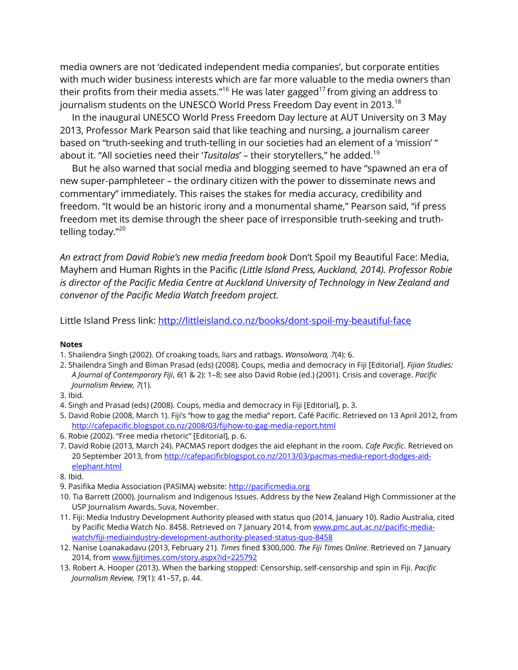media owners are not 'dedicated independent media companies', but corporate entities with much wider business interests which are far more valuable to the media owners than their profits from their media assets."<sup>16</sup> He was later gagged<sup>17</sup> from giving an address to journalism students on the UNESCO World Press Freedom Day event in 2013.<sup>18</sup>

In the inaugural UNESCO World Press Freedom Day lecture at AUT University on 3 May 2013, Professor Mark Pearson said that like teaching and nursing, a journalism career based on "truth-seeking and truth-telling in our societies had an element of a 'mission' " about it. "All societies need their '*Tusitalas*' – their storytellers," he added.<sup>19</sup>

But he also warned that social media and blogging seemed to have "spawned an era of new super-pamphleteer – the ordinary citizen with the power to disseminate news and commentary" immediately. This raises the stakes for media accuracy, credibility and freedom. "It would be an historic irony and a monumental shame," Pearson said, "if press freedom met its demise through the sheer pace of irresponsible truth-seeking and truthtelling today."<sup>20</sup>

*An extract from David Robie's new media freedom book* Don't Spoil my Beautiful Face: Media, Mayhem and Human Rights in the Pacific *(Little Island Press, Auckland, 2014). Professor Robie is director of the Pacific Media Centre at Auckland University of Technology in New Zealand and convenor of the Pacific Media Watch freedom project.*

Little Island Press link:<http://littleisland.co.nz/books/dont-spoil-my-beautiful-face>

#### **Notes**

- 1. Shailendra Singh (2002). Of croaking toads, liars and ratbags. *Wansolwara, 7*(4): 6.
- 2. Shailendra Singh and Biman Prasad (eds) (2008). Coups, media and democracy in Fiji [Editorial]. *Fijian Studies: A Journal of Contemporary Fiji*, *6*(1 & 2): 1–8; see also David Robie (ed.) (2001). Crisis and coverage. *Pacific Journalism Review, 7*(1).
- 3. Ibid.
- 4. Singh and Prasad (eds) (2008). Coups, media and democracy in Fiji [Editorial], p. 3.
- 5. David Robie (2008, March 1). Fiji's "how to gag the media" report. Café Pacific. Retrieved on 13 April 2012, from <http://cafepacific.blogspot.co.nz/2008/03/fijihow-to-gag-media-report.html>
- 6. Robie (2002). "Free media rhetoric" [Editorial], p. 6.
- 7. David Robie (2013, March 24). PACMAS report dodges the aid elephant in the room. *Cafe Pacific*. Retrieved on 20 September 2013, from [http://cafepacificblogspot.co.nz/2013/03/pacmas-media-report-dodges-aid](http://cafepacificblogspot.co.nz/2013/03/pacmas-media-report-dodges-aid-elephant.html)[elephant.html](http://cafepacificblogspot.co.nz/2013/03/pacmas-media-report-dodges-aid-elephant.html)
- 8. Ibid.
- 9. Pasifika Media Association (PASIMA) website[: http://pacificmedia.org](http://pacificmedia.org/)
- 10. Tia Barrett (2000). Journalism and Indigenous Issues. Address by the New Zealand High Commissioner at the USP Journalism Awards, Suva, November.
- 11. Fiji: Media Industry Development Authority pleased with status quo (2014, January 10). Radio Australia, cited by Pacific Media Watch No. 8458. Retrieved on 7 January 2014, fro[m www.pmc.aut.ac.nz/pacific-media](http://www.pmc.aut.ac.nz/pacific-media-watch/fiji-mediaindustry-development-authority-pleased-status-quo-8458)[watch/fiji-mediaindustry-development-authority-pleased-status-quo-8458](http://www.pmc.aut.ac.nz/pacific-media-watch/fiji-mediaindustry-development-authority-pleased-status-quo-8458)
- 12. Nanise Loanakadavu (2013, February 21). *Times* fined \$300,000. *The Fiji Times Online*. Retrieved on 7 January 2014, from [www.fijitimes.com/story.aspx?id=225792](http://www.fijitimes.com/story.aspx?id=225792)
- 13. Robert A. Hooper (2013). When the barking stopped: Censorship, self-censorship and spin in Fiji. *Pacific Journalism Review, 19*(1): 41–57, p. 44.